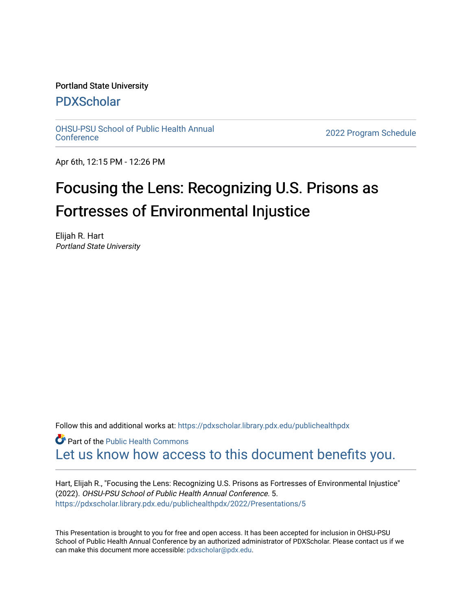# Portland State University

# [PDXScholar](https://pdxscholar.library.pdx.edu/)

[OHSU-PSU School of Public Health Annual](https://pdxscholar.library.pdx.edu/publichealthpdx)

2022 Program Schedule

Apr 6th, 12:15 PM - 12:26 PM

# Focusing the Lens: Recognizing U.S. Prisons as Fortresses of Environmental Injustice

Elijah R. Hart Portland State University

Follow this and additional works at: https://pdxscholar.library.pdx.edu/publichealthpdx

**P** Part of the Public Health Commons [Let us know how access to this document benefits you.](http://library.pdx.edu/services/pdxscholar-services/pdxscholar-feedback/) 

Hart, Elijah R., "Focusing the Lens: Recognizing U.S. Prisons as Fortresses of Environmental Injustice" (2022). OHSU-PSU School of Public Health Annual Conference. 5. [https://pdxscholar.library.pdx.edu/publichealthpdx/2022/Presentations/5](https://pdxscholar.library.pdx.edu/publichealthpdx/2022/Presentations/5?utm_source=pdxscholar.library.pdx.edu%2Fpublichealthpdx%2F2022%2FPresentations%2F5&utm_medium=PDF&utm_campaign=PDFCoverPages) 

This Presentation is brought to you for free and open access. It has been accepted for inclusion in OHSU-PSU School of Public Health Annual Conference by an authorized administrator of PDXScholar. Please contact us if we can make this document more accessible: [pdxscholar@pdx.edu.](mailto:pdxscholar@pdx.edu)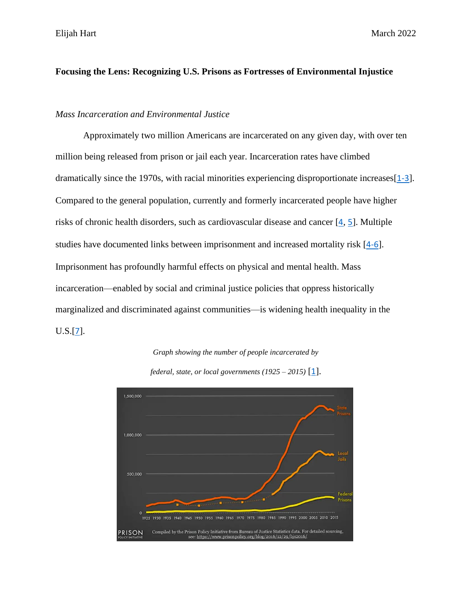Elijah Hart March 2022

# **Focusing the Lens: Recognizing U.S. Prisons as Fortresses of Environmental Injustice**

# *Mass Incarceration and Environmental Justice*

Approximately two million Americans are incarcerated on any given day, with over ten million being released from prison or jail each year. Incarceration rates have climbed dramatically since the 1970s, with racial minorities experiencing disproportionate increases [[1-3](#page-9-0)]. Compared to the general population, currently and formerly incarcerated people have higher risks of chronic health disorders, such as cardiovascular disease and cancer  $[4, 5]$  $[4, 5]$  $[4, 5]$  $[4, 5]$  $[4, 5]$ . Multiple studies have documented links between imprisonment and increased mortality risk [[4-6](#page-9-1)]. Imprisonment has profoundly harmful effects on physical and mental health. Mass incarceration—enabled by social and criminal justice policies that oppress historically marginalized and discriminated against communities—is widening health inequality in the  $U.S.[7]$  $U.S.[7]$  $U.S.[7]$ .





*federal, state, or local governments (1925 – 2015)* [[1](#page-9-0)].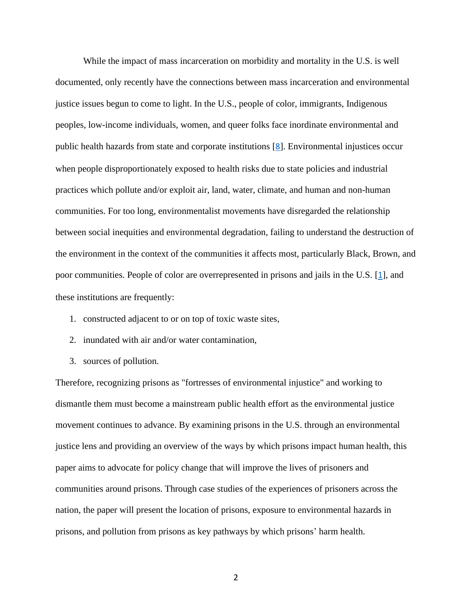While the impact of mass incarceration on morbidity and mortality in the U.S. is well documented, only recently have the connections between mass incarceration and environmental justice issues begun to come to light. In the U.S., people of color, immigrants, Indigenous peoples, low-income individuals, women, and queer folks face inordinate environmental and public health hazards from state and corporate institutions [[8](#page-9-4)]. Environmental injustices occur when people disproportionately exposed to health risks due to state policies and industrial practices which pollute and/or exploit air, land, water, climate, and human and non-human communities. For too long, environmentalist movements have disregarded the relationship between social inequities and environmental degradation, failing to understand the destruction of the environment in the context of the communities it affects most, particularly Black, Brown, and poor communities. People of color are overrepresented in prisons and jails in the U.S. [[1](#page-9-0)], and these institutions are frequently:

- 1. constructed adjacent to or on top of toxic waste sites,
- 2. inundated with air and/or water contamination,
- 3. sources of pollution.

Therefore, recognizing prisons as "fortresses of environmental injustice" and working to dismantle them must become a mainstream public health effort as the environmental justice movement continues to advance. By examining prisons in the U.S. through an environmental justice lens and providing an overview of the ways by which prisons impact human health, this paper aims to advocate for policy change that will improve the lives of prisoners and communities around prisons. Through case studies of the experiences of prisoners across the nation, the paper will present the location of prisons, exposure to environmental hazards in prisons, and pollution from prisons as key pathways by which prisons' harm health.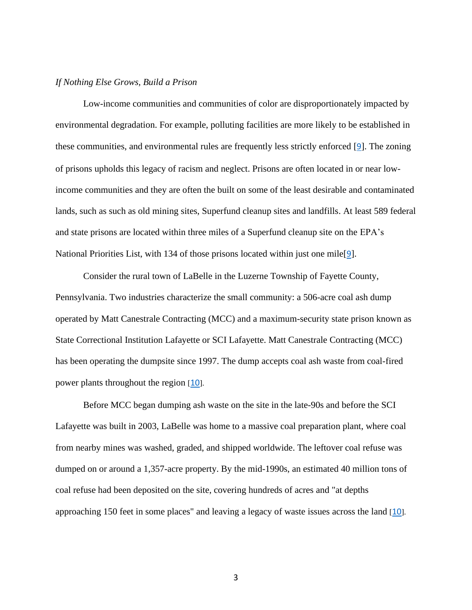### *If Nothing Else Grows, Build a Prison*

Low-income communities and communities of color are disproportionately impacted by environmental degradation. For example, polluting facilities are more likely to be established in these communities, and environmental rules are frequently less strictly enforced [[9](#page-9-5)]. The zoning of prisons upholds this legacy of racism and neglect. Prisons are often located in or near lowincome communities and they are often the built on some of the least desirable and contaminated lands, such as such as old mining sites, Superfund cleanup sites and landfills. At least 589 federal and state prisons are located within three miles of a Superfund cleanup site on the EPA's National Priorities List, with 134 of those prisons located within just one mile[[9](#page-9-5)].

Consider the rural town of LaBelle in the Luzerne Township of Fayette County, Pennsylvania. Two industries characterize the small community: a 506-acre coal ash dump operated by Matt Canestrale Contracting (MCC) and a maximum-security state prison known as State Correctional Institution Lafayette or SCI Lafayette. Matt Canestrale Contracting (MCC) has been operating the dumpsite since 1997. The dump accepts coal ash waste from coal-fired power plants throughout the region [[10](#page-9-6)].

Before MCC began dumping ash waste on the site in the late-90s and before the SCI Lafayette was built in 2003, LaBelle was home to a massive coal preparation plant, where coal from nearby mines was washed, graded, and shipped worldwide. The leftover coal refuse was dumped on or around a 1,357-acre property. By the mid-1990s, an estimated 40 million tons of coal refuse had been deposited on the site, covering hundreds of acres and "at depths approaching 150 feet in some places" and leaving a legacy of waste issues across the land [[10](#page-9-6)].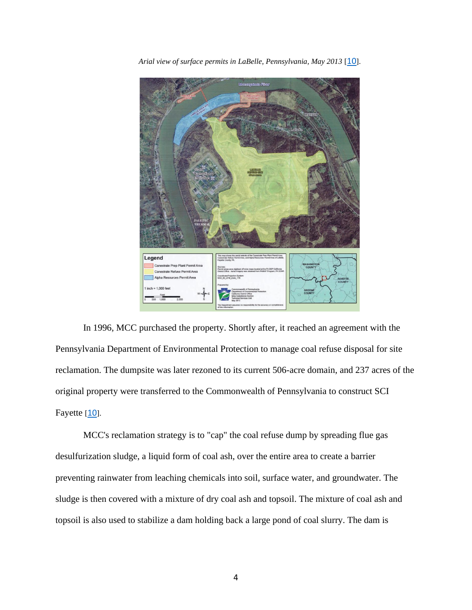

*Arial view of surface permits in LaBelle, Pennsylvania, May 2013* [[10](#page-9-6)].

In 1996, MCC purchased the property. Shortly after, it reached an agreement with the Pennsylvania Department of Environmental Protection to manage coal refuse disposal for site reclamation. The dumpsite was later rezoned to its current 506-acre domain, and 237 acres of the original property were transferred to the Commonwealth of Pennsylvania to construct SCI Fayette [[10](#page-9-6)].

MCC's reclamation strategy is to "cap" the coal refuse dump by spreading flue gas desulfurization sludge, a liquid form of coal ash, over the entire area to create a barrier preventing rainwater from leaching chemicals into soil, surface water, and groundwater. The sludge is then covered with a mixture of dry coal ash and topsoil. The mixture of coal ash and topsoil is also used to stabilize a dam holding back a large pond of coal slurry. The dam is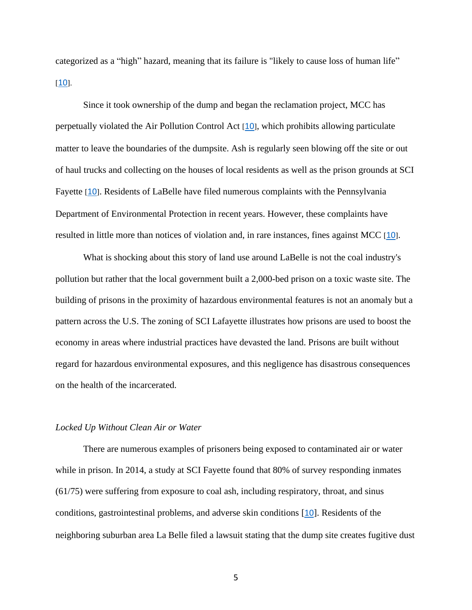categorized as a "high" hazard, meaning that its failure is "likely to cause loss of human life"  $[10]$  $[10]$  $[10]$ .

Since it took ownership of the dump and began the reclamation project, MCC has perpetually violated the Air Pollution Control Act [[10](#page-9-6)], which prohibits allowing particulate matter to leave the boundaries of the dumpsite. Ash is regularly seen blowing off the site or out of haul trucks and collecting on the houses of local residents as well as the prison grounds at SCI Fayette [[10](#page-9-6)]. Residents of LaBelle have filed numerous complaints with the Pennsylvania Department of Environmental Protection in recent years. However, these complaints have resulted in little more than notices of violation and, in rare instances, fines against MCC [[10](#page-9-6)].

What is shocking about this story of land use around LaBelle is not the coal industry's pollution but rather that the local government built a 2,000-bed prison on a toxic waste site. The building of prisons in the proximity of hazardous environmental features is not an anomaly but a pattern across the U.S. The zoning of SCI Lafayette illustrates how prisons are used to boost the economy in areas where industrial practices have devasted the land. Prisons are built without regard for hazardous environmental exposures, and this negligence has disastrous consequences on the health of the incarcerated.

#### *Locked Up Without Clean Air or Water*

There are numerous examples of prisoners being exposed to contaminated air or water while in prison. In 2014, a study at SCI Fayette found that 80% of survey responding inmates (61/75) were suffering from exposure to coal ash, including respiratory, throat, and sinus conditions, gastrointestinal problems, and adverse skin conditions [[10](#page-9-6)]. Residents of the neighboring suburban area La Belle filed a lawsuit stating that the dump site creates fugitive dust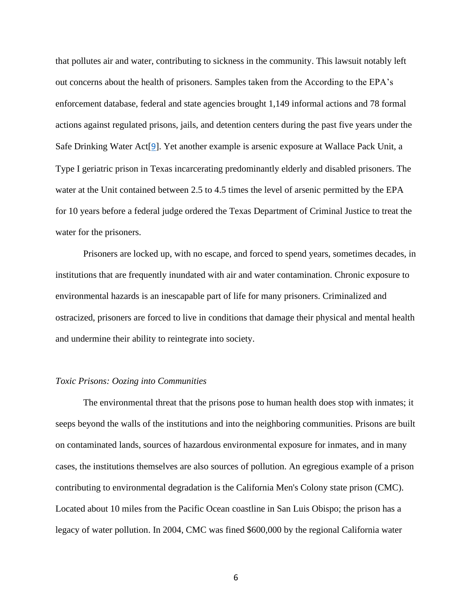that pollutes air and water, contributing to sickness in the community. This lawsuit notably left out concerns about the health of prisoners. Samples taken from the According to the EPA's enforcement database, federal and state agencies brought 1,149 informal actions and 78 formal actions against regulated prisons, jails, and detention centers during the past five years under the Safe Drinking Water Act[[9](#page-9-5)]. Yet another example is arsenic exposure at Wallace Pack Unit, a Type I geriatric prison in Texas incarcerating predominantly elderly and disabled prisoners. The water at the Unit contained between 2.5 to 4.5 times the level of arsenic permitted by the EPA for 10 years before a federal judge ordered the Texas Department of Criminal Justice to treat the water for the prisoners.

Prisoners are locked up, with no escape, and forced to spend years, sometimes decades, in institutions that are frequently inundated with air and water contamination. Chronic exposure to environmental hazards is an inescapable part of life for many prisoners. Criminalized and ostracized, prisoners are forced to live in conditions that damage their physical and mental health and undermine their ability to reintegrate into society.

#### *Toxic Prisons: Oozing into Communities*

The environmental threat that the prisons pose to human health does stop with inmates; it seeps beyond the walls of the institutions and into the neighboring communities. Prisons are built on contaminated lands, sources of hazardous environmental exposure for inmates, and in many cases, the institutions themselves are also sources of pollution. An egregious example of a prison contributing to environmental degradation is the California Men's Colony state prison (CMC). Located about 10 miles from the Pacific Ocean coastline in San Luis Obispo; the prison has a legacy of water pollution. In 2004, CMC was fined \$600,000 by the regional California water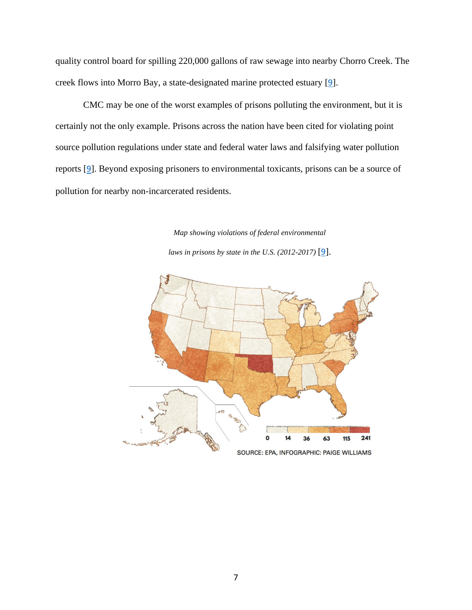quality control board for spilling 220,000 gallons of raw sewage into nearby Chorro Creek. The creek flows into Morro Bay, a state-designated marine protected estuary [[9](#page-9-5)].

CMC may be one of the worst examples of prisons polluting the environment, but it is certainly not the only example. Prisons across the nation have been cited for violating point source pollution regulations under state and federal water laws and falsifying water pollution reports [[9](#page-9-5)]. Beyond exposing prisoners to environmental toxicants, prisons can be a source of pollution for nearby non-incarcerated residents.

*Map showing violations of federal environmental* 

*laws in prisons by state in the U.S. (2012-2017)* [[9](#page-9-5)].

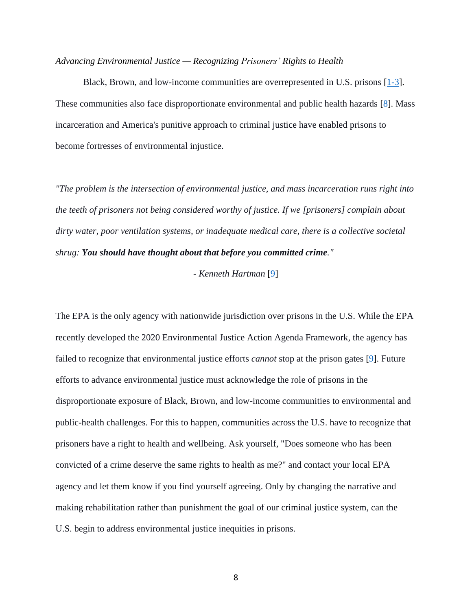#### *Advancing Environmental Justice — Recognizing Prisoners' Rights to Health*

Black, Brown, and low-income communities are overrepresented in U.S. prisons [\[1-3\]](#page-9-0). These communities also face disproportionate environmental and public health hazards [\[8\]](#page-9-4). Mass incarceration and America's punitive approach to criminal justice have enabled prisons to become fortresses of environmental injustice.

*"The problem is the intersection of environmental justice, and mass incarceration runs right into the teeth of prisoners not being considered worthy of justice. If we [prisoners] complain about dirty water, poor ventilation systems, or inadequate medical care, there is a collective societal shrug: You should have thought about that before you committed crime."*

#### *- Kenneth Hartman* [\[9\]](#page-9-5)

The EPA is the only agency with nationwide jurisdiction over prisons in the U.S. While the EPA recently developed the 2020 Environmental Justice Action Agenda Framework, the agency has failed to recognize that environmental justice efforts *cannot* stop at the prison gates [\[9\]](#page-9-5). Future efforts to advance environmental justice must acknowledge the role of prisons in the disproportionate exposure of Black, Brown, and low-income communities to environmental and public-health challenges. For this to happen, communities across the U.S. have to recognize that prisoners have a right to health and wellbeing. Ask yourself, "Does someone who has been convicted of a crime deserve the same rights to health as me?" and contact your local EPA agency and let them know if you find yourself agreeing. Only by changing the narrative and making rehabilitation rather than punishment the goal of our criminal justice system, can the U.S. begin to address environmental justice inequities in prisons.